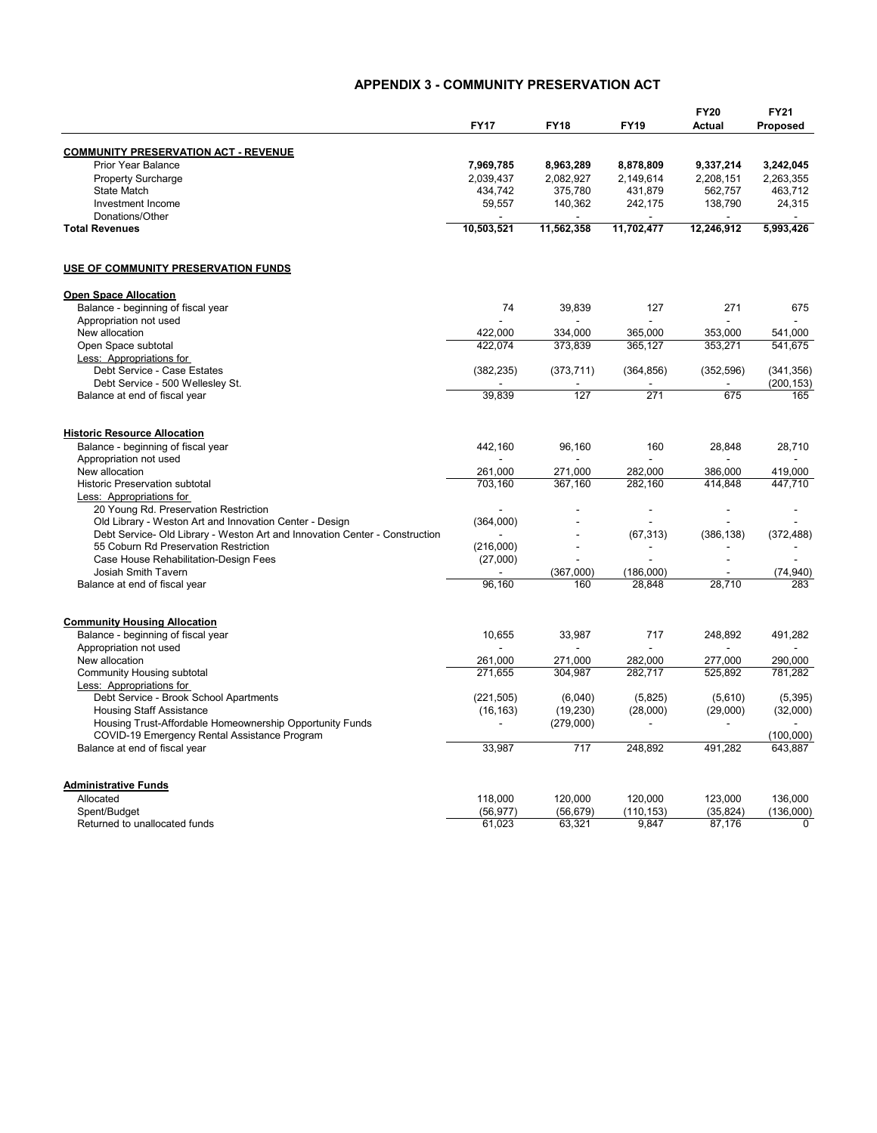## **APPENDIX 3 - COMMUNITY PRESERVATION ACT**

|                                                                             | <b>FY17</b>    | <b>FY18</b>    | <b>FY19</b>    | <b>FY20</b><br><b>Actual</b> | <b>FY21</b><br>Proposed |
|-----------------------------------------------------------------------------|----------------|----------------|----------------|------------------------------|-------------------------|
|                                                                             |                |                |                |                              |                         |
| <b>COMMUNITY PRESERVATION ACT - REVENUE</b>                                 |                |                |                |                              |                         |
| <b>Prior Year Balance</b>                                                   | 7.969.785      | 8,963,289      | 8,878,809      | 9,337,214                    | 3,242,045               |
| Property Surcharge                                                          | 2,039,437      | 2,082,927      | 2,149,614      | 2,208,151                    | 2,263,355               |
| <b>State Match</b>                                                          |                |                | 431,879        | 562,757                      | 463,712                 |
|                                                                             | 434,742        | 375,780        |                |                              |                         |
| Investment Income                                                           | 59,557         | 140,362        | 242,175        | 138,790                      | 24,315                  |
| Donations/Other<br><b>Total Revenues</b>                                    | 10,503,521     | 11,562,358     | 11,702,477     | 12,246,912                   | 5,993,426               |
|                                                                             |                |                |                |                              |                         |
| USE OF COMMUNITY PRESERVATION FUNDS                                         |                |                |                |                              |                         |
| <b>Open Space Allocation</b>                                                |                |                |                |                              |                         |
| Balance - beginning of fiscal year                                          | 74             | 39,839         | 127            | 271                          | 675                     |
| Appropriation not used                                                      |                | $\sim$         |                | ÷.                           |                         |
| New allocation                                                              | 422.000        | 334.000        | 365.000        | 353.000                      | 541.000                 |
| Open Space subtotal                                                         | 422.074        | 373,839        | 365,127        | 353,271                      | 541.675                 |
| Less: Appropriations for                                                    |                |                |                |                              |                         |
| Debt Service - Case Estates                                                 | (382, 235)     | (373, 711)     | (364, 856)     | (352, 596)                   | (341, 356)              |
| Debt Service - 500 Wellesley St.                                            |                |                |                |                              | (200, 153)              |
| Balance at end of fiscal year                                               | 39.839         | 127            | 271            | 675                          | 165                     |
| <b>Historic Resource Allocation</b>                                         |                |                |                |                              |                         |
| Balance - beginning of fiscal year                                          | 442,160        | 96,160         | 160            | 28,848                       | 28,710                  |
| Appropriation not used                                                      |                | $\blacksquare$ |                | $\overline{a}$               |                         |
| New allocation                                                              | 261,000        | 271,000        | 282,000        | 386,000                      | 419,000                 |
| <b>Historic Preservation subtotal</b>                                       | 703,160        | 367,160        | 282,160        | 414,848                      | 447,710                 |
| Less: Appropriations for                                                    |                |                |                |                              |                         |
| 20 Young Rd. Preservation Restriction                                       |                |                |                |                              |                         |
| Old Library - Weston Art and Innovation Center - Design                     | (364,000)      |                |                |                              |                         |
| Debt Service- Old Library - Weston Art and Innovation Center - Construction |                | J.             |                | (386, 138)                   | (372, 488)              |
| 55 Coburn Rd Preservation Restriction                                       | (216,000)      |                | (67, 313)      |                              |                         |
| Case House Rehabilitation-Design Fees                                       | (27,000)       |                |                | $\overline{a}$               |                         |
| Josiah Smith Tavern                                                         |                | (367,000)      | (186,000)      |                              | (74, 940)               |
|                                                                             | 96,160         | 160            | 28.848         | 28,710                       | 283                     |
| Balance at end of fiscal year                                               |                |                |                |                              |                         |
| <b>Community Housing Allocation</b>                                         |                |                |                |                              |                         |
| Balance - beginning of fiscal year                                          | 10,655         | 33,987         | 717            | 248,892                      | 491,282                 |
| Appropriation not used                                                      |                |                |                |                              |                         |
| New allocation                                                              | 261,000        | 271,000        | 282,000        | 277,000                      | 290,000                 |
| Community Housing subtotal                                                  | 271,655        | 304,987        | 282,717        | 525,892                      | 781,282                 |
| Less: Appropriations for                                                    |                |                |                |                              |                         |
| Debt Service - Brook School Apartments                                      | (221, 505)     | (6,040)        | (5,825)        | (5,610)                      | (5, 395)                |
| <b>Housing Staff Assistance</b>                                             | (16, 163)      | (19, 230)      | (28,000)       | (29,000)                     | (32,000)                |
| Housing Trust-Affordable Homeownership Opportunity Funds                    | $\blacksquare$ | (279,000)      | $\overline{a}$ | $\overline{a}$               |                         |
| COVID-19 Emergency Rental Assistance Program                                |                |                |                |                              | (100,000)               |
| Balance at end of fiscal year                                               | 33,987         | 717            | 248,892        | 491,282                      | 643,887                 |
| <b>Administrative Funds</b>                                                 |                |                |                |                              |                         |
| Allocated                                                                   | 118,000        | 120,000        | 120,000        | 123,000                      | 136,000                 |
| Spent/Budget                                                                | (56, 977)      | (56, 679)      | (110, 153)     | (35, 824)                    | (136,000)               |
| Returned to unallocated funds                                               | 61,023         | 63,321         | 9,847          | 87,176                       | 0                       |
|                                                                             |                |                |                |                              |                         |